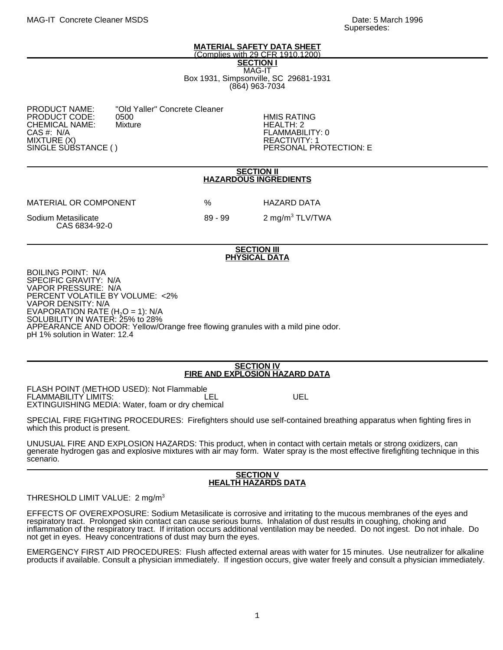#### **MATERIAL SAFETY DATA SHEET** (Complies with 29 CFR 1910.1200)

**SECTION I**

MAG-IT Box 1931, Simpsonville, SC 29681-1931 (864) 963-7034

| <b>PRODUCT NAME:</b><br>PRODUCT CODE:<br>CHEMICAL NAME: | "Old Yaller" Concrete Cleaner<br>0500<br><b>Mixture</b> |
|---------------------------------------------------------|---------------------------------------------------------|
| CAS #: N/A<br>MIXTURE (X)                               |                                                         |
| SINGLE SUBSTANCE ()                                     |                                                         |

**HMIS RATING** HEALTH: 2 FLAMMABILITY: 0 REACTIVITY: 1 PERSONAL PROTECTION: E

### **SECTION II HAZARDOUS INGREDIENTS**

MATERIAL OR COMPONENT % HAZARD DATA

Sodium Metasilicate 1988 - 199 12 mg/m<sup>3</sup> TLV/TWA CAS 6834-92-0

### **SECTION III PHYSICAL DATA**

BOILING POINT: N/A SPECIFIC GRAVITY: N/A VAPOR PRESSURE: N/A PERCENT VOLATILE BY VOLUME: <2% VAPOR DENSITY: N/A EVAPORATION RATE  $(H<sub>2</sub>O = 1)$ : N/A SOLUBILITY IN WATER: 25% to 28% APPEARANCE AND ODOR: Yellow/Orange free flowing granules with a mild pine odor. pH 1% solution in Water: 12.4

# **SECTION IV FIRE AND EXPLOSION HAZARD DATA**

FLASH POINT (METHOD USED): Not Flammable FLAMMABILITY LIMITS: The Contract of the LEL CONTROL UEL EXTINGUISHING MEDIA: Water, foam or dry chemical

SPECIAL FIRE FIGHTING PROCEDURES: Firefighters should use self-contained breathing apparatus when fighting fires in which this product is present.

UNUSUAL FIRE AND EXPLOSION HAZARDS: This product, when in contact with certain metals or strong oxidizers, can generate hydrogen gas and explosive mixtures with air may form. Water spray is the most effective firefighting technique in this scenario.

# **SECTION V HEALTH HAZARDS DATA**

# THRESHOLD LIMIT VALUE: 2 mg/m<sup>3</sup>

EFFECTS OF OVEREXPOSURE: Sodium Metasilicate is corrosive and irritating to the mucous membranes of the eyes and respiratory tract. Prolonged skin contact can cause serious burns. Inhalation of dust results in coughing, choking and inflammation of the respiratory tract. If irritation occurs additional ventilation may be needed. Do not ingest. Do not inhale. Do not get in eyes. Heavy concentrations of dust may burn the eyes.

EMERGENCY FIRST AID PROCEDURES: Flush affected external areas with water for 15 minutes. Use neutralizer for alkaline products if available. Consult a physician immediately. If ingestion occurs, give water freely and consult a physician immediately.